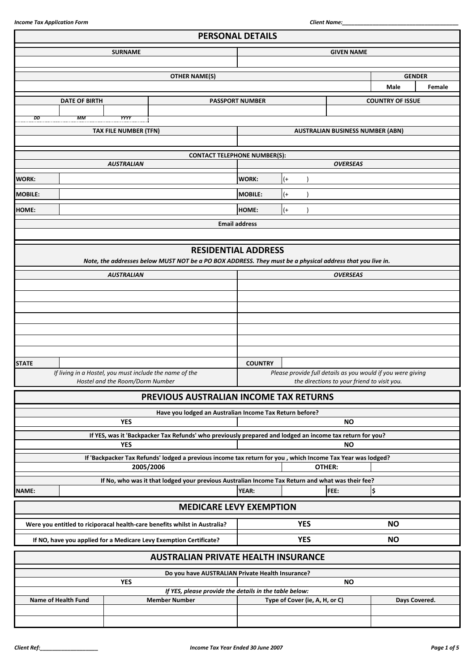|                | <b>PERSONAL DETAILS</b> |                                 |                                                                                                             |                        |                                |                                             |                                                             |        |
|----------------|-------------------------|---------------------------------|-------------------------------------------------------------------------------------------------------------|------------------------|--------------------------------|---------------------------------------------|-------------------------------------------------------------|--------|
|                |                         | <b>SURNAME</b>                  |                                                                                                             | <b>GIVEN NAME</b>      |                                |                                             |                                                             |        |
|                |                         |                                 |                                                                                                             |                        |                                |                                             |                                                             |        |
|                |                         |                                 | <b>OTHER NAME(S)</b>                                                                                        |                        |                                |                                             | <b>GENDER</b>                                               |        |
|                |                         |                                 |                                                                                                             |                        |                                |                                             | <b>Male</b>                                                 | Female |
|                | <b>DATE OF BIRTH</b>    |                                 |                                                                                                             | <b>PASSPORT NUMBER</b> |                                |                                             | <b>COUNTRY OF ISSUE</b>                                     |        |
| DD             | МM                      | YYYY                            |                                                                                                             |                        |                                |                                             |                                                             |        |
|                |                         | <b>TAX FILE NUMBER (TFN)</b>    |                                                                                                             |                        |                                | <b>AUSTRALIAN BUSINESS NUMBER (ABN)</b>     |                                                             |        |
|                |                         |                                 |                                                                                                             |                        |                                |                                             |                                                             |        |
|                |                         |                                 | <b>CONTACT TELEPHONE NUMBER(S):</b>                                                                         |                        |                                |                                             |                                                             |        |
|                |                         | <b>AUSTRALIAN</b>               |                                                                                                             |                        |                                | <b>OVERSEAS</b>                             |                                                             |        |
| <b>WORK:</b>   |                         |                                 |                                                                                                             | <b>WORK:</b>           | $^{(+)}$                       |                                             |                                                             |        |
| <b>MOBILE:</b> |                         |                                 |                                                                                                             | <b>MOBILE:</b>         | $^{(+)}$                       |                                             |                                                             |        |
| <b>HOME:</b>   |                         |                                 |                                                                                                             | HOME:                  | $^{(+)}$                       |                                             |                                                             |        |
|                |                         |                                 |                                                                                                             | <b>Email address</b>   |                                |                                             |                                                             |        |
|                |                         |                                 |                                                                                                             |                        |                                |                                             |                                                             |        |
|                |                         |                                 | <b>RESIDENTIAL ADDRESS</b>                                                                                  |                        |                                |                                             |                                                             |        |
|                |                         |                                 | Note, the addresses below MUST NOT be a PO BOX ADDRESS. They must be a physical address that you live in.   |                        |                                |                                             |                                                             |        |
|                |                         | <b>AUSTRALIAN</b>               |                                                                                                             |                        |                                | <b>OVERSEAS</b>                             |                                                             |        |
|                |                         |                                 |                                                                                                             |                        |                                |                                             |                                                             |        |
|                |                         |                                 |                                                                                                             |                        |                                |                                             |                                                             |        |
|                |                         |                                 |                                                                                                             |                        |                                |                                             |                                                             |        |
|                |                         |                                 |                                                                                                             |                        |                                |                                             |                                                             |        |
|                |                         |                                 |                                                                                                             |                        |                                |                                             |                                                             |        |
|                |                         |                                 |                                                                                                             |                        |                                |                                             |                                                             |        |
| <b>STATE</b>   |                         |                                 |                                                                                                             | <b>COUNTRY</b>         |                                |                                             |                                                             |        |
|                |                         | Hostel and the Room/Dorm Number | If living in a Hostel, you must include the name of the                                                     |                        |                                | the directions to your friend to visit you. | Please provide full details as you would if you were giving |        |
|                |                         |                                 | PREVIOUS AUSTRALIAN INCOME TAX RETURNS                                                                      |                        |                                |                                             |                                                             |        |
|                |                         |                                 |                                                                                                             |                        |                                |                                             |                                                             |        |
|                |                         | <b>YES</b>                      | Have you lodged an Australian Income Tax Return before?                                                     |                        |                                | <b>NO</b>                                   |                                                             |        |
|                |                         |                                 | If YES, was it 'Backpacker Tax Refunds' who previously prepared and lodged an income tax return for you?    |                        |                                |                                             |                                                             |        |
|                |                         | <b>YES</b>                      |                                                                                                             |                        |                                | <b>NO</b>                                   |                                                             |        |
|                |                         |                                 | If 'Backpacker Tax Refunds' lodged a previous income tax return for you , which Income Tax Year was lodged? |                        |                                |                                             |                                                             |        |
|                |                         |                                 | 2005/2006                                                                                                   |                        |                                | OTHER:                                      |                                                             |        |
|                |                         |                                 | If No, who was it that lodged your previous Australian Income Tax Return and what was their fee?            |                        |                                |                                             |                                                             |        |
| NAME:          |                         |                                 |                                                                                                             | <b>YEAR:</b>           |                                | FEE:                                        | ¦\$                                                         |        |
|                |                         |                                 | <b>MEDICARE LEVY EXEMPTION</b>                                                                              |                        |                                |                                             |                                                             |        |
|                |                         |                                 | Were you entitled to riciporacal health-care benefits whilst in Australia?                                  |                        | <b>YES</b>                     |                                             | <b>NO</b>                                                   |        |
|                |                         |                                 | If NO, have you applied for a Medicare Levy Exemption Certificate?                                          |                        | <b>YES</b>                     |                                             | <b>NO</b>                                                   |        |
|                |                         |                                 | <b>AUSTRALIAN PRIVATE HEALTH INSURANCE</b>                                                                  |                        |                                |                                             |                                                             |        |
|                |                         |                                 | Do you have AUSTRALIAN Private Health Insurance?                                                            |                        |                                |                                             |                                                             |        |
|                |                         | <b>YES</b>                      |                                                                                                             |                        |                                | <b>NO</b>                                   |                                                             |        |
|                | Name of Health Fund     |                                 | If YES, please provide the details in the table below:<br><b>Member Number</b>                              |                        | Type of Cover (ie, A, H, or C) |                                             | Days Covered.                                               |        |
|                |                         |                                 |                                                                                                             |                        |                                |                                             |                                                             |        |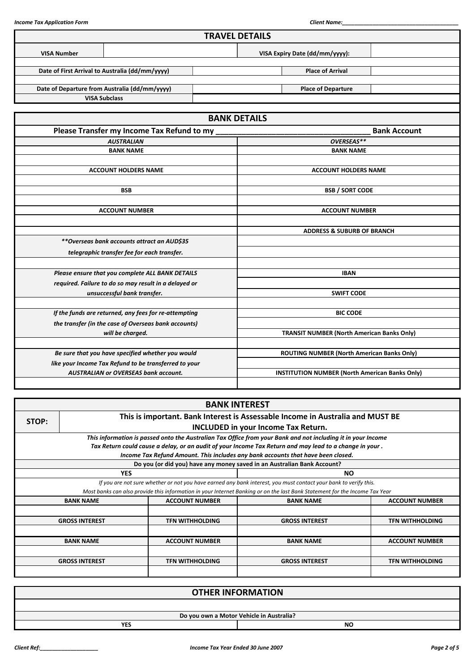|                    |                                                       | <b>TRAVEL DETAILS</b> |                                                       |                     |  |  |
|--------------------|-------------------------------------------------------|-----------------------|-------------------------------------------------------|---------------------|--|--|
| <b>VISA Number</b> |                                                       |                       | VISA Expiry Date (dd/mm/yyyy):                        |                     |  |  |
|                    | Date of First Arrival to Australia (dd/mm/yyyy)       |                       | <b>Place of Arrival</b>                               |                     |  |  |
|                    | Date of Departure from Australia (dd/mm/yyyy)         |                       | <b>Place of Departure</b>                             |                     |  |  |
|                    | <b>VISA Subclass</b>                                  |                       |                                                       |                     |  |  |
|                    |                                                       | <b>BANK DETAILS</b>   |                                                       |                     |  |  |
|                    | Please Transfer my Income Tax Refund to my            |                       |                                                       | <b>Bank Account</b> |  |  |
|                    | <b>AUSTRALIAN</b>                                     |                       | OVERSEAS**                                            |                     |  |  |
|                    | <b>BANK NAME</b>                                      |                       | <b>BANK NAME</b>                                      |                     |  |  |
|                    |                                                       |                       |                                                       |                     |  |  |
|                    | <b>ACCOUNT HOLDERS NAME</b>                           |                       | <b>ACCOUNT HOLDERS NAME</b>                           |                     |  |  |
|                    |                                                       |                       |                                                       |                     |  |  |
|                    | <b>BSB</b>                                            |                       | <b>BSB / SORT CODE</b>                                |                     |  |  |
|                    |                                                       |                       |                                                       |                     |  |  |
|                    | <b>ACCOUNT NUMBER</b>                                 | <b>ACCOUNT NUMBER</b> |                                                       |                     |  |  |
|                    |                                                       |                       |                                                       |                     |  |  |
|                    |                                                       |                       | <b>ADDRESS &amp; SUBURB OF BRANCH</b>                 |                     |  |  |
|                    | **Overseas bank accounts attract an AUD\$35           |                       |                                                       |                     |  |  |
|                    | telegraphic transfer fee for each transfer.           |                       |                                                       |                     |  |  |
|                    | Please ensure that you complete ALL BANK DETAILS      |                       | <b>IBAN</b>                                           |                     |  |  |
|                    | required. Failure to do so may result in a delayed or |                       |                                                       |                     |  |  |
|                    | unsuccessful bank transfer.                           | <b>SWIFT CODE</b>     |                                                       |                     |  |  |
|                    |                                                       |                       |                                                       |                     |  |  |
|                    | If the funds are returned, any fees for re-attempting |                       | <b>BIC CODE</b>                                       |                     |  |  |
|                    | the transfer (in the case of Overseas bank accounts)  |                       |                                                       |                     |  |  |
|                    | will be charged.                                      |                       | <b>TRANSIT NUMBER (North American Banks Only)</b>     |                     |  |  |
|                    |                                                       |                       |                                                       |                     |  |  |
|                    | Be sure that you have specified whether you would     |                       | ROUTING NUMBER (North American Banks Only)            |                     |  |  |
|                    | like your Income Tax Refund to be transferred to your |                       |                                                       |                     |  |  |
|                    | <b>AUSTRALIAN or OVERSEAS bank account.</b>           |                       | <b>INSTITUTION NUMBER (North American Banks Only)</b> |                     |  |  |
|                    |                                                       |                       |                                                       |                     |  |  |

|       |                                                                                |                        | <b>BANK INTEREST</b>                                                                                                        |                        |  |  |  |  |  |
|-------|--------------------------------------------------------------------------------|------------------------|-----------------------------------------------------------------------------------------------------------------------------|------------------------|--|--|--|--|--|
| STOP: | This is important. Bank Interest is Assessable Income in Australia and MUST BE |                        |                                                                                                                             |                        |  |  |  |  |  |
|       |                                                                                |                        | <b>INCLUDED in your Income Tax Return.</b>                                                                                  |                        |  |  |  |  |  |
|       |                                                                                |                        | This information is passed onto the Australian Tax Office from your Bank and not including it in your Income                |                        |  |  |  |  |  |
|       |                                                                                |                        | Tax Return could cause a delay, or an audit of your Income Tax Return and may lead to a change in your .                    |                        |  |  |  |  |  |
|       |                                                                                |                        | Income Tax Refund Amount. This includes any bank accounts that have been closed.                                            |                        |  |  |  |  |  |
|       |                                                                                |                        | Do you (or did you) have any money saved in an Australian Bank Account?                                                     |                        |  |  |  |  |  |
|       | <b>YES</b>                                                                     |                        | <b>NO</b>                                                                                                                   |                        |  |  |  |  |  |
|       |                                                                                |                        | If you are not sure whether or not you have earned any bank interest, you must contact your bank to verify this.            |                        |  |  |  |  |  |
|       |                                                                                |                        | Most banks can also provide this information in your Internet Banking or on the last Bank Statement for the Income Tax Year |                        |  |  |  |  |  |
|       | <b>BANK NAME</b>                                                               | <b>ACCOUNT NUMBER</b>  | <b>BANK NAME</b>                                                                                                            | <b>ACCOUNT NUMBER</b>  |  |  |  |  |  |
|       |                                                                                |                        |                                                                                                                             |                        |  |  |  |  |  |
|       | <b>GROSS INTEREST</b>                                                          | <b>TFN WITHHOLDING</b> | <b>GROSS INTEREST</b>                                                                                                       | <b>TFN WITHHOLDING</b> |  |  |  |  |  |
|       |                                                                                |                        |                                                                                                                             |                        |  |  |  |  |  |
|       | <b>BANK NAME</b>                                                               | <b>ACCOUNT NUMBER</b>  | <b>BANK NAME</b>                                                                                                            | <b>ACCOUNT NUMBER</b>  |  |  |  |  |  |
|       |                                                                                |                        |                                                                                                                             |                        |  |  |  |  |  |
|       | <b>GROSS INTEREST</b>                                                          | <b>TFN WITHHOLDING</b> | <b>GROSS INTEREST</b>                                                                                                       | <b>TFN WITHHOLDING</b> |  |  |  |  |  |
|       |                                                                                |                        |                                                                                                                             |                        |  |  |  |  |  |

|            | <b>OTHER INFORMATION</b>                 |
|------------|------------------------------------------|
|            |                                          |
|            | Do you own a Motor Vehicle in Australia? |
| <b>YES</b> | <b>NO</b>                                |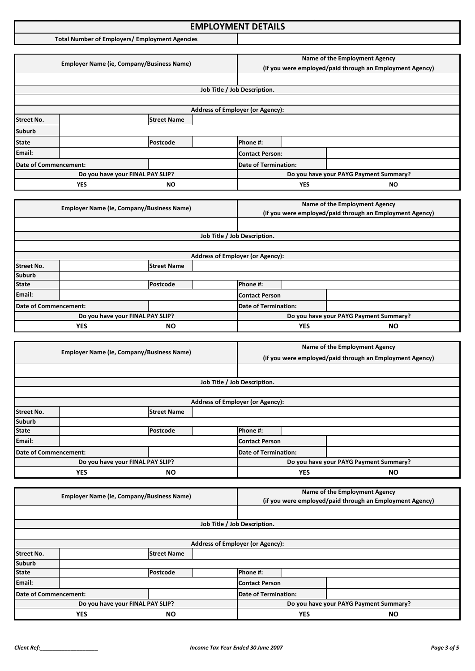### **Income Tax Application Format: EMPLOYMENT DETAILS**

**Total Number of Employers/ Employment Agencies**

|                       | <b>Employer Name (ie, Company/Business Name)</b> |                                                                                                                  |  | Name of the Employment Agency<br>(if you were employed/paid through an Employment Agency) |            |                                        |
|-----------------------|--------------------------------------------------|------------------------------------------------------------------------------------------------------------------|--|-------------------------------------------------------------------------------------------|------------|----------------------------------------|
|                       |                                                  |                                                                                                                  |  |                                                                                           |            |                                        |
|                       |                                                  |                                                                                                                  |  | Job Title / Job Description.                                                              |            |                                        |
|                       |                                                  |                                                                                                                  |  |                                                                                           |            |                                        |
|                       |                                                  |                                                                                                                  |  | <b>Address of Employer (or Agency):</b>                                                   |            |                                        |
| <b>Street No.</b>     |                                                  | <b>Street Name</b>                                                                                               |  |                                                                                           |            |                                        |
| <b>Suburb</b>         |                                                  |                                                                                                                  |  |                                                                                           |            |                                        |
| <b>State</b>          |                                                  | Postcode                                                                                                         |  | Phone #:                                                                                  |            |                                        |
| Email:                |                                                  |                                                                                                                  |  | <b>Contact Person:</b>                                                                    |            |                                        |
| Date of Commencement: |                                                  |                                                                                                                  |  | <b>Date of Termination:</b>                                                               |            |                                        |
|                       |                                                  | Do you have your FINAL PAY SLIP?                                                                                 |  |                                                                                           |            | Do you have your PAYG Payment Summary? |
|                       | <b>YES</b>                                       | ΝO                                                                                                               |  |                                                                                           | <b>YES</b> | ΝO                                     |
|                       |                                                  |                                                                                                                  |  |                                                                                           |            |                                        |
|                       |                                                  | $F_{\text{model}}$ . The Mean of $F_{\text{model}}$ is the contract of $F_{\text{model}}$ and $F_{\text{model}}$ |  |                                                                                           |            | Name of the Employment Agency          |

|                       | <b>Employer Name (ie, Company/Business Name)</b> |          |  | $\ldots$<br>(if you were employed/paid through an Employment Agency) |            |                                        |
|-----------------------|--------------------------------------------------|----------|--|----------------------------------------------------------------------|------------|----------------------------------------|
|                       |                                                  |          |  |                                                                      |            |                                        |
|                       |                                                  |          |  | Job Title / Job Description.                                         |            |                                        |
|                       |                                                  |          |  |                                                                      |            |                                        |
|                       |                                                  |          |  | <b>Address of Employer (or Agency):</b>                              |            |                                        |
| <b>Street No.</b>     | <b>Street Name</b>                               |          |  |                                                                      |            |                                        |
| <b>Suburb</b>         |                                                  |          |  |                                                                      |            |                                        |
| <b>State</b>          |                                                  | Postcode |  | Phone #:                                                             |            |                                        |
| Email:                |                                                  |          |  | <b>Contact Person</b>                                                |            |                                        |
| Date of Commencement: |                                                  |          |  | Date of Termination:                                                 |            |                                        |
|                       | Do you have your FINAL PAY SLIP?                 |          |  |                                                                      |            | Do you have your PAYG Payment Summary? |
|                       | <b>YES</b><br><b>NO</b>                          |          |  |                                                                      | <b>YES</b> | <b>NO</b>                              |

|                       | <b>Employer Name (ie, Company/Business Name)</b> |                    |                             | Name of the Employment Agency                            |           |                                        |
|-----------------------|--------------------------------------------------|--------------------|-----------------------------|----------------------------------------------------------|-----------|----------------------------------------|
|                       |                                                  |                    |                             | (if you were employed/paid through an Employment Agency) |           |                                        |
|                       |                                                  |                    |                             |                                                          |           |                                        |
|                       |                                                  |                    |                             | Job Title / Job Description.                             |           |                                        |
|                       |                                                  |                    |                             |                                                          |           |                                        |
|                       |                                                  |                    |                             | <b>Address of Employer (or Agency):</b>                  |           |                                        |
| <b>Street No.</b>     |                                                  | <b>Street Name</b> |                             |                                                          |           |                                        |
| <b>Suburb</b>         |                                                  |                    |                             |                                                          |           |                                        |
| <b>State</b>          |                                                  | Postcode           |                             | Phone #:                                                 |           |                                        |
| Email:                |                                                  |                    |                             | <b>Contact Person</b>                                    |           |                                        |
| Date of Commencement: |                                                  |                    | <b>Date of Termination:</b> |                                                          |           |                                        |
|                       | Do you have your FINAL PAY SLIP?                 |                    |                             |                                                          |           | Do you have your PAYG Payment Summary? |
| YES<br><b>NO</b>      |                                                  |                    |                             | <b>YES</b>                                               | <b>NO</b> |                                        |

|                                  | <b>Employer Name (ie, Company/Business Name)</b> |                      |  | Name of the Employment Agency                            |           |  |
|----------------------------------|--------------------------------------------------|----------------------|--|----------------------------------------------------------|-----------|--|
|                                  |                                                  |                      |  | (if you were employed/paid through an Employment Agency) |           |  |
|                                  |                                                  |                      |  |                                                          |           |  |
|                                  |                                                  |                      |  | Job Title / Job Description.                             |           |  |
|                                  |                                                  |                      |  |                                                          |           |  |
|                                  |                                                  |                      |  | <b>Address of Employer (or Agency):</b>                  |           |  |
| <b>Street No.</b>                |                                                  | <b>Street Name</b>   |  |                                                          |           |  |
| <b>Suburb</b>                    |                                                  |                      |  |                                                          |           |  |
| <b>State</b>                     |                                                  | Postcode             |  | Phone #:                                                 |           |  |
| Email:                           |                                                  |                      |  | Contact Person                                           |           |  |
| Date of Commencement:            |                                                  | Date of Termination: |  |                                                          |           |  |
| Do you have your FINAL PAY SLIP? |                                                  |                      |  | Do you have your PAYG Payment Summary?                   |           |  |
| <b>YES</b><br><b>NO</b>          |                                                  |                      |  | <b>YES</b>                                               | <b>NO</b> |  |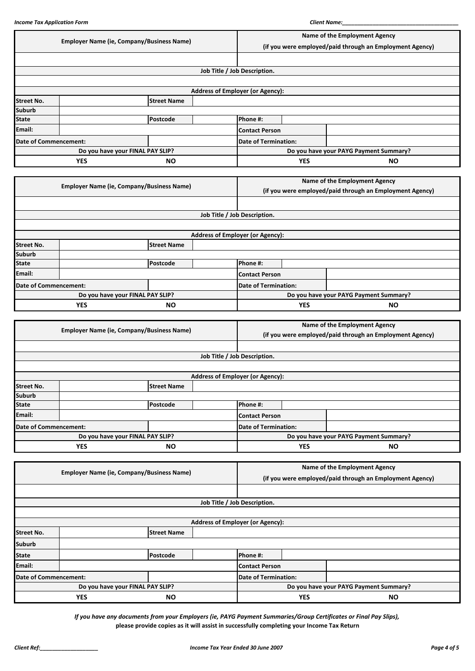|                                  | <b>Employer Name (ie, Company/Business Name)</b> |                                                  |  | Name of the Employment Agency                            |            |                               |  |
|----------------------------------|--------------------------------------------------|--------------------------------------------------|--|----------------------------------------------------------|------------|-------------------------------|--|
|                                  |                                                  |                                                  |  | (if you were employed/paid through an Employment Agency) |            |                               |  |
|                                  |                                                  |                                                  |  |                                                          |            |                               |  |
|                                  |                                                  |                                                  |  | Job Title / Job Description.                             |            |                               |  |
|                                  |                                                  |                                                  |  |                                                          |            |                               |  |
|                                  |                                                  |                                                  |  | <b>Address of Employer (or Agency):</b>                  |            |                               |  |
| <b>Street No.</b>                |                                                  | <b>Street Name</b>                               |  |                                                          |            |                               |  |
| <b>Suburb</b>                    |                                                  |                                                  |  |                                                          |            |                               |  |
| <b>State</b>                     |                                                  | Postcode                                         |  | Phone #:                                                 |            |                               |  |
| Email:                           |                                                  |                                                  |  | <b>Contact Person</b>                                    |            |                               |  |
| <b>Date of Commencement:</b>     |                                                  |                                                  |  | <b>Date of Termination:</b>                              |            |                               |  |
|                                  |                                                  | Do you have your FINAL PAY SLIP?                 |  | Do you have your PAYG Payment Summary?                   |            |                               |  |
|                                  | <b>YES</b>                                       | <b>NO</b>                                        |  |                                                          | <b>YES</b> | <b>NO</b>                     |  |
|                                  |                                                  |                                                  |  |                                                          |            |                               |  |
|                                  |                                                  | <b>Employer Name (ie, Company/Business Name)</b> |  |                                                          |            | Name of the Employment Agency |  |
|                                  |                                                  |                                                  |  | (if you were employed/paid through an Employment Agency) |            |                               |  |
|                                  |                                                  |                                                  |  |                                                          |            |                               |  |
|                                  |                                                  |                                                  |  | Job Title / Job Description.                             |            |                               |  |
|                                  |                                                  |                                                  |  |                                                          |            |                               |  |
|                                  |                                                  |                                                  |  | <b>Address of Employer (or Agency):</b>                  |            |                               |  |
| <b>Street No.</b>                |                                                  | <b>Street Name</b>                               |  |                                                          |            |                               |  |
| <b>Suburb</b>                    |                                                  |                                                  |  |                                                          |            |                               |  |
| <b>State</b>                     |                                                  | Postcode                                         |  | Phone #:                                                 |            |                               |  |
| Email:                           |                                                  |                                                  |  | <b>Contact Person</b>                                    |            |                               |  |
| <b>Date of Commencement:</b>     |                                                  |                                                  |  | <b>Date of Termination:</b>                              |            |                               |  |
| Do you have your FINAL PAY SLIP? |                                                  |                                                  |  | Do you have your PAYG Payment Summary?                   |            |                               |  |
|                                  | <b>YES</b><br><b>NO</b>                          |                                                  |  |                                                          |            |                               |  |

|                         | <b>Employer Name (ie, Company/Business Name)</b> |                    |                                         | Name of the Employment Agency                            |                                        |  |
|-------------------------|--------------------------------------------------|--------------------|-----------------------------------------|----------------------------------------------------------|----------------------------------------|--|
|                         |                                                  |                    |                                         | (if you were employed/paid through an Employment Agency) |                                        |  |
|                         |                                                  |                    |                                         |                                                          |                                        |  |
|                         |                                                  |                    |                                         | Job Title / Job Description.                             |                                        |  |
|                         |                                                  |                    |                                         |                                                          |                                        |  |
|                         |                                                  |                    | <b>Address of Employer (or Agency):</b> |                                                          |                                        |  |
| <b>Street No.</b>       |                                                  | <b>Street Name</b> |                                         |                                                          |                                        |  |
| <b>Suburb</b>           |                                                  |                    |                                         |                                                          |                                        |  |
| <b>State</b>            |                                                  | Postcode           |                                         | Phone #:                                                 |                                        |  |
| Email:                  |                                                  |                    |                                         | <b>Contact Person</b>                                    |                                        |  |
|                         | Date of Commencement:                            |                    |                                         | <b>Date of Termination:</b>                              |                                        |  |
|                         | Do you have your FINAL PAY SLIP?                 |                    |                                         |                                                          | Do you have your PAYG Payment Summary? |  |
| <b>YES</b><br><b>NO</b> |                                                  |                    | <b>YES</b>                              | <b>NO</b>                                                |                                        |  |

|                         | <b>Employer Name (ie, Company/Business Name)</b> |                    |                                         | Name of the Employment Agency          |           |                                                          |
|-------------------------|--------------------------------------------------|--------------------|-----------------------------------------|----------------------------------------|-----------|----------------------------------------------------------|
|                         |                                                  |                    |                                         |                                        |           | (if you were employed/paid through an Employment Agency) |
|                         |                                                  |                    |                                         |                                        |           |                                                          |
|                         |                                                  |                    |                                         | Job Title / Job Description.           |           |                                                          |
|                         |                                                  |                    |                                         |                                        |           |                                                          |
|                         |                                                  |                    | <b>Address of Employer (or Agency):</b> |                                        |           |                                                          |
| <b>Street No.</b>       |                                                  | <b>Street Name</b> |                                         |                                        |           |                                                          |
| <b>Suburb</b>           |                                                  |                    |                                         |                                        |           |                                                          |
| <b>State</b>            |                                                  | Postcode           |                                         | Phone #:                               |           |                                                          |
| Email:                  |                                                  |                    |                                         | <b>Contact Person</b>                  |           |                                                          |
|                         | Date of Commencement:                            |                    | <b>Date of Termination:</b>             |                                        |           |                                                          |
|                         | Do you have your FINAL PAY SLIP?                 |                    |                                         | Do you have your PAYG Payment Summary? |           |                                                          |
| <b>YES</b><br><b>NO</b> |                                                  |                    |                                         | <b>YES</b>                             | <b>NO</b> |                                                          |

*If you have any documents from your Employers (ie, PAYG Payment Summaries/Group Certificates or Final Pay Slips),* **please provide copies as it will assist in successfully completing your Income Tax Return**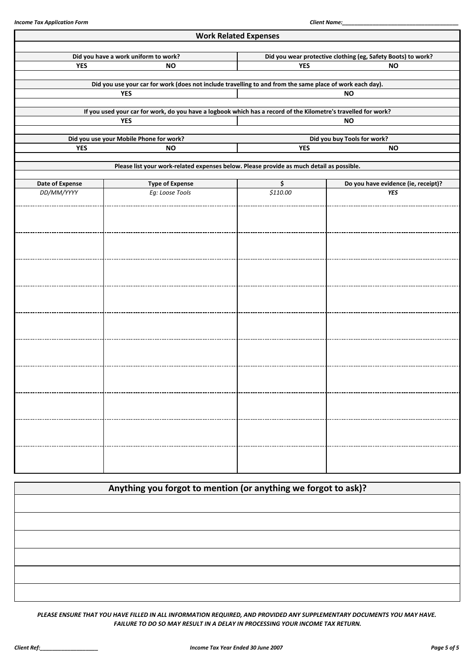|                 |                                                                                                                | <b>Work Related Expenses</b> |                                                              |  |  |  |
|-----------------|----------------------------------------------------------------------------------------------------------------|------------------------------|--------------------------------------------------------------|--|--|--|
|                 | Did you have a work uniform to work?                                                                           |                              | Did you wear protective clothing (eg, Safety Boots) to work? |  |  |  |
| <b>YES</b>      | <b>NO</b>                                                                                                      | <b>YES</b><br><b>NO</b>      |                                                              |  |  |  |
|                 | Did you use your car for work (does not include travelling to and from the same place of work each day).       |                              |                                                              |  |  |  |
|                 | <b>YES</b>                                                                                                     |                              | <b>NO</b>                                                    |  |  |  |
|                 | If you used your car for work, do you have a logbook which has a record of the Kilometre's travelled for work? |                              |                                                              |  |  |  |
|                 | <b>YES</b>                                                                                                     |                              | <b>NO</b>                                                    |  |  |  |
|                 | Did you use your Mobile Phone for work?                                                                        |                              | Did you buy Tools for work?                                  |  |  |  |
| <b>YES</b>      | <b>NO</b>                                                                                                      | <b>YES</b>                   | <b>NO</b>                                                    |  |  |  |
|                 | Please list your work-related expenses below. Please provide as much detail as possible.                       |                              |                                                              |  |  |  |
| Date of Expense | <b>Type of Expense</b>                                                                                         | \$                           | Do you have evidence (ie, receipt)?                          |  |  |  |
| DD/MM/YYYY      | Eg: Loose Tools                                                                                                | \$110.00                     | <b>YES</b>                                                   |  |  |  |
|                 |                                                                                                                |                              |                                                              |  |  |  |
|                 |                                                                                                                |                              |                                                              |  |  |  |
|                 |                                                                                                                |                              |                                                              |  |  |  |
|                 |                                                                                                                |                              |                                                              |  |  |  |
|                 |                                                                                                                |                              |                                                              |  |  |  |
|                 |                                                                                                                |                              |                                                              |  |  |  |
|                 |                                                                                                                |                              |                                                              |  |  |  |
|                 |                                                                                                                |                              |                                                              |  |  |  |
|                 |                                                                                                                |                              |                                                              |  |  |  |
|                 |                                                                                                                |                              |                                                              |  |  |  |
|                 |                                                                                                                |                              |                                                              |  |  |  |
|                 |                                                                                                                |                              |                                                              |  |  |  |
|                 |                                                                                                                |                              |                                                              |  |  |  |
|                 |                                                                                                                |                              |                                                              |  |  |  |
|                 |                                                                                                                |                              |                                                              |  |  |  |
|                 |                                                                                                                |                              |                                                              |  |  |  |
|                 |                                                                                                                |                              |                                                              |  |  |  |
|                 |                                                                                                                |                              |                                                              |  |  |  |
|                 |                                                                                                                |                              |                                                              |  |  |  |
|                 |                                                                                                                |                              |                                                              |  |  |  |

| Anything you forgot to mention (or anything we forgot to ask)? |  |
|----------------------------------------------------------------|--|
|                                                                |  |
|                                                                |  |
|                                                                |  |
|                                                                |  |
|                                                                |  |
|                                                                |  |

*PLEASE ENSURE THAT YOU HAVE FILLED IN ALL INFORMATION REQUIRED, AND PROVIDED ANY SUPPLEMENTARY DOCUMENTS YOU MAY HAVE. FAILURE TO DO SO MAY RESULT IN A DELAY IN PROCESSING YOUR INCOME TAX RETURN.*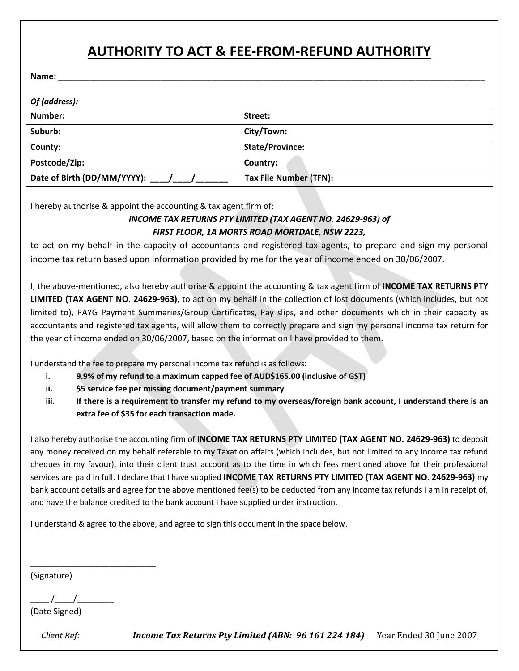# **AUTHORITY TO ACT & FEE-FROM-REFUND AUTHORITY**

**Name:** \_\_\_\_\_\_\_\_\_\_\_\_\_\_\_\_\_\_\_\_\_\_\_\_\_\_\_\_\_\_\_\_\_\_\_\_\_\_\_\_\_\_\_\_\_\_\_\_\_\_\_\_\_\_\_\_\_\_\_\_\_\_\_\_\_\_\_\_\_\_\_\_\_\_\_\_\_\_\_\_\_\_\_\_\_\_\_\_\_\_\_\_

| Of (address):                   |                        |
|---------------------------------|------------------------|
| Number:                         | Street:                |
| Suburb:                         | City/Town:             |
| County:                         | <b>State/Province:</b> |
| Postcode/Zip:                   | Country:               |
| Date of Birth (DD/MM/YYYY): / / | Tax File Number (TFN): |

I hereby authorise & appoint the accounting & tax agent firm of:

### *INCOME TAX RETURNS PTY LIMITED (TAX AGENT NO. 24629-963) of FIRST FLOOR, 1A MORTS ROAD MORTDALE, NSW 2223,*

to act on my behalf in the capacity of accountants and registered tax agents, to prepare and sign my personal income tax return based upon information provided by me for the year of income ended on 30/06/2007.

I, the above-mentioned, also hereby authorise & appoint the accounting & tax agent firm of **INCOME TAX RETURNS PTY LIMITED (TAX AGENT NO. 24629-963)**, to act on my behalf in the collection of lost documents (which includes, but not limited to), PAYG Payment Summaries/Group Certificates, Pay slips, and other documents which in their capacity as accountants and registered tax agents, will allow them to correctly prepare and sign my personal income tax return for the year of income ended on 30/06/2007, based on the information I have provided to them.

I understand the fee to prepare my personal income tax refund is as follows:

- **i. 9.9% of my refund to a maximum capped fee of AUD\$165.00 (inclusive of GST)**
- **ii. \$5 service fee per missing document/payment summary**
- **iii. If there is a requirement to transfer my refund to my overseas/foreign bank account, I understand there is an extra fee of \$35 for each transaction made.**

I also hereby authorise the accounting firm of **INCOME TAX RETURNS PTY LIMITED (TAX AGENT NO. 24629-963)** to deposit any money received on my behalf referable to my Taxation affairs (which includes, but not limited to any income tax refund cheques in my favour), into their client trust account as to the time in which fees mentioned above for their professional services are paid in full. I declare that I have supplied **INCOME TAX RETURNS PTY LIMITED (TAX AGENT NO. 24629-963)** my bank account details and agree for the above mentioned fee(s) to be deducted from any income tax refunds I am in receipt of, and have the balance credited to the bank account I have supplied under instruction.

I understand & agree to the above, and agree to sign this document in the space below.

(Signature)

 $\frac{1}{2}$  /

\_\_\_\_\_\_\_\_\_\_\_\_\_\_\_\_\_\_\_\_\_\_\_\_\_\_\_

(Date Signed)